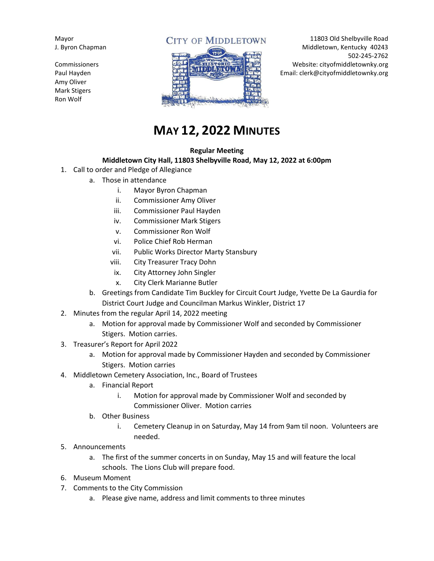Mayor J. Byron Chapman

Commissioners Paul Hayden Amy Oliver Mark Stigers Ron Wolf

## **CITY OF MIDDLETOWN**



11803 Old Shelbyville Road Middletown, Kentucky 40243 502-245-2762 Website: cityofmiddletownky.org Email: clerk@cityofmiddletownky.org

# **MAY 12, 2022 MINUTES**

#### **Regular Meeting**

#### **Middletown City Hall, 11803 Shelbyville Road, May 12, 2022 at 6:00pm**

- 1. Call to order and Pledge of Allegiance
	- a. Those in attendance
		- i. Mayor Byron Chapman
		- ii. Commissioner Amy Oliver
		- iii. Commissioner Paul Hayden
		- iv. Commissioner Mark Stigers
		- v. Commissioner Ron Wolf
		- vi. Police Chief Rob Herman
		- vii. Public Works Director Marty Stansbury
		- viii. City Treasurer Tracy Dohn
		- ix. City Attorney John Singler
		- x. City Clerk Marianne Butler
	- b. Greetings from Candidate Tim Buckley for Circuit Court Judge, Yvette De La Gaurdia for District Court Judge and Councilman Markus Winkler, District 17
- 2. Minutes from the regular April 14, 2022 meeting
	- a. Motion for approval made by Commissioner Wolf and seconded by Commissioner Stigers. Motion carries.
- 3. Treasurer's Report for April 2022
	- a. Motion for approval made by Commissioner Hayden and seconded by Commissioner Stigers. Motion carries
- 4. Middletown Cemetery Association, Inc., Board of Trustees
	- a. Financial Report
		- i. Motion for approval made by Commissioner Wolf and seconded by Commissioner Oliver. Motion carries
	- b. Other Business
		- i. Cemetery Cleanup in on Saturday, May 14 from 9am til noon. Volunteers are needed.
- 5. Announcements
	- a. The first of the summer concerts in on Sunday, May 15 and will feature the local schools. The Lions Club will prepare food.
- 6. Museum Moment
- 7. Comments to the City Commission
	- a. Please give name, address and limit comments to three minutes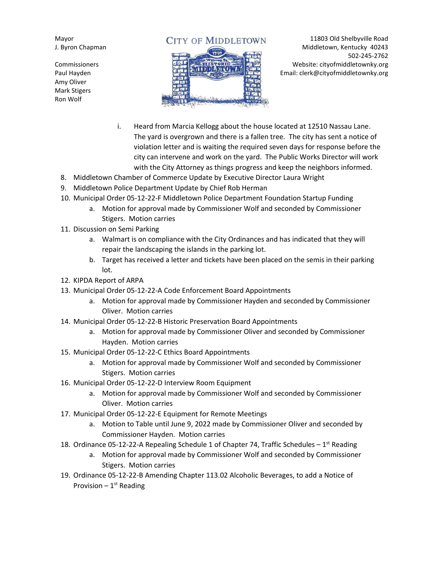Mayor J. Byron Chapman

Commissioners Paul Hayden Amy Oliver Mark Stigers Ron Wolf

### **CITY OF MIDDLETOWN**



11803 Old Shelbyville Road Middletown, Kentucky 40243 502-245-2762 Website: cityofmiddletownky.org Email: clerk@cityofmiddletownky.org

- i. Heard from Marcia Kellogg about the house located at 12510 Nassau Lane. The yard is overgrown and there is a fallen tree. The city has sent a notice of violation letter and is waiting the required seven days for response before the city can intervene and work on the yard. The Public Works Director will work with the City Attorney as things progress and keep the neighbors informed.
- 8. Middletown Chamber of Commerce Update by Executive Director Laura Wright
- 9. Middletown Police Department Update by Chief Rob Herman
- 10. Municipal Order 05-12-22-F Middletown Police Department Foundation Startup Funding
	- a. Motion for approval made by Commissioner Wolf and seconded by Commissioner Stigers. Motion carries
- 11. Discussion on Semi Parking
	- a. Walmart is on compliance with the City Ordinances and has indicated that they will repair the landscaping the islands in the parking lot.
	- b. Target has received a letter and tickets have been placed on the semis in their parking lot.
- 12. KIPDA Report of ARPA
- 13. Municipal Order 05-12-22-A Code Enforcement Board Appointments
	- a. Motion for approval made by Commissioner Hayden and seconded by Commissioner Oliver. Motion carries
- 14. Municipal Order 05-12-22-B Historic Preservation Board Appointments
	- a. Motion for approval made by Commissioner Oliver and seconded by Commissioner Hayden. Motion carries
- 15. Municipal Order 05-12-22-C Ethics Board Appointments
	- a. Motion for approval made by Commissioner Wolf and seconded by Commissioner Stigers. Motion carries
- 16. Municipal Order 05-12-22-D Interview Room Equipment
	- a. Motion for approval made by Commissioner Wolf and seconded by Commissioner Oliver. Motion carries
- 17. Municipal Order 05-12-22-E Equipment for Remote Meetings
	- a. Motion to Table until June 9, 2022 made by Commissioner Oliver and seconded by Commissioner Hayden. Motion carries
- 18. Ordinance 05-12-22-A Repealing Schedule 1 of Chapter 74, Traffic Schedules 1<sup>st</sup> Reading
	- a. Motion for approval made by Commissioner Wolf and seconded by Commissioner Stigers. Motion carries
- 19. Ordinance 05-12-22-B Amending Chapter 113.02 Alcoholic Beverages, to add a Notice of Provision – 1st Reading